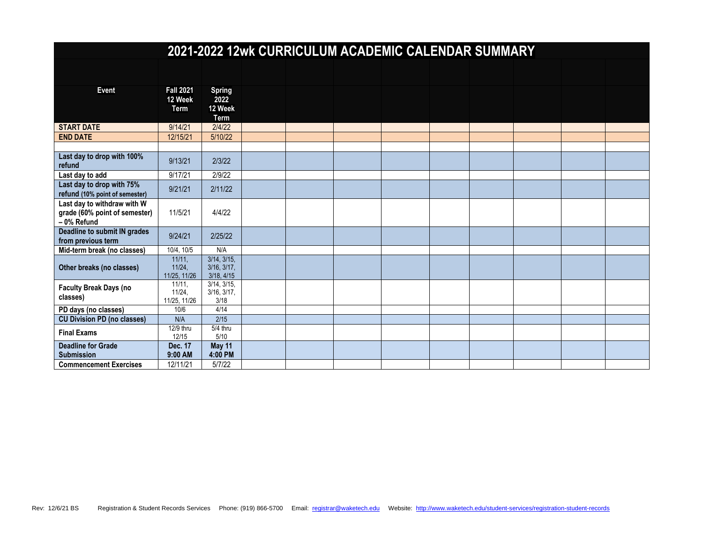| 2021-2022 12wk CURRICULUM ACADEMIC CALENDAR SUMMARY                        |                                            |                                                |  |  |  |  |  |  |  |  |  |
|----------------------------------------------------------------------------|--------------------------------------------|------------------------------------------------|--|--|--|--|--|--|--|--|--|
|                                                                            |                                            |                                                |  |  |  |  |  |  |  |  |  |
| Event                                                                      | <b>Fall 2021</b><br>12 Week<br><b>Term</b> | <b>Spring</b><br>2022<br>12 Week<br>Term       |  |  |  |  |  |  |  |  |  |
| <b>START DATE</b>                                                          | 9/14/21                                    | 2/4/22                                         |  |  |  |  |  |  |  |  |  |
| <b>END DATE</b>                                                            | 12/15/21                                   | 5/10/22                                        |  |  |  |  |  |  |  |  |  |
|                                                                            |                                            |                                                |  |  |  |  |  |  |  |  |  |
| Last day to drop with 100%<br>refund                                       | 9/13/21                                    | 2/3/22                                         |  |  |  |  |  |  |  |  |  |
| Last day to add                                                            | 9/17/21                                    | 2/9/22                                         |  |  |  |  |  |  |  |  |  |
| Last day to drop with 75%<br>refund (10% point of semester)                | 9/21/21                                    | 2/11/22                                        |  |  |  |  |  |  |  |  |  |
| Last day to withdraw with W<br>grade (60% point of semester)<br>-0% Refund | 11/5/21                                    | 4/4/22                                         |  |  |  |  |  |  |  |  |  |
| Deadline to submit IN grades<br>from previous term                         | 9/24/21                                    | 2/25/22                                        |  |  |  |  |  |  |  |  |  |
| Mid-term break (no classes)                                                | 10/4, 10/5                                 | N/A                                            |  |  |  |  |  |  |  |  |  |
| Other breaks (no classes)                                                  | 11/11,<br>11/24.<br>11/25, 11/26           | $3/14$ , $3/15$ ,<br>3/16, 3/17,<br>3/18, 4/15 |  |  |  |  |  |  |  |  |  |
| <b>Faculty Break Days (no</b><br>classes)                                  | $11/11$ ,<br>11/24.<br>11/25, 11/26        | $3/14$ , $3/15$ ,<br>3/16, 3/17,<br>3/18       |  |  |  |  |  |  |  |  |  |
| PD days (no classes)                                                       | 10/6                                       | 4/14                                           |  |  |  |  |  |  |  |  |  |
| <b>CU Division PD (no classes)</b>                                         | N/A                                        | 2/15                                           |  |  |  |  |  |  |  |  |  |
| <b>Final Exams</b>                                                         | 12/9 thru<br>12/15                         | $5/4$ thru<br>5/10                             |  |  |  |  |  |  |  |  |  |
| <b>Deadline for Grade</b><br><b>Submission</b>                             | Dec. 17<br>9:00 AM                         | May 11<br>4:00 PM                              |  |  |  |  |  |  |  |  |  |
| <b>Commencement Exercises</b>                                              | 12/11/21                                   | 5/7/22                                         |  |  |  |  |  |  |  |  |  |